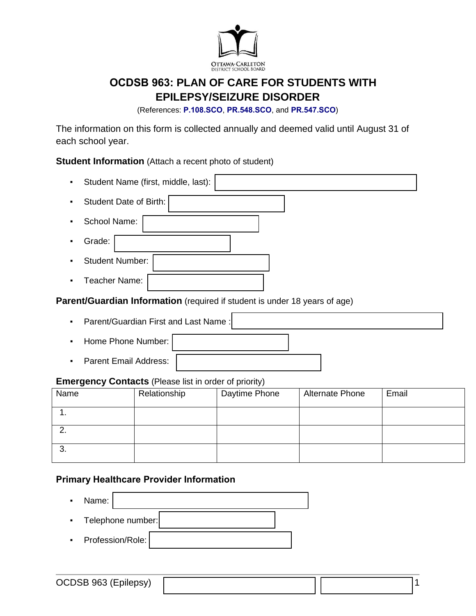

# **OCDSB 963: PLAN OF CARE FOR STUDENTS WITH EPILEPSY/SEIZURE DISORDER**

(References: **[P.108.SCO](https://weblink.ocdsb.ca/WebLink/0/edoc/2977064/P%20108%20SCO%20-%20Care%20of%20Students%20with%20Severe,%20Life-threatening%20Medical%20Conditions.pdf)**, **[PR.548.SCO](https://weblink.ocdsb.ca/WebLink/0/edoc/2975376/PR%20547%20SCO%20-%20Providing%20Emergency%20Medical%20Care%20for%20Students.pdf)**, and **[PR.547.SCO](https://weblink.ocdsb.ca/WebLink/0/edoc/2969842/PR%20548%20SCO%20-%20Severe,%20Life%20Threatening%20Medical%20Conditions%20FINAL.pdf)**)

The information on this form is collected annually and deemed valid until August 31 of each school year.

**Student Information** (Attach a recent photo of student)

|                                                                            | Student Name (first, middle, last):                          |              |  |               |                        |  |       |  |
|----------------------------------------------------------------------------|--------------------------------------------------------------|--------------|--|---------------|------------------------|--|-------|--|
|                                                                            | Student Date of Birth:                                       |              |  |               |                        |  |       |  |
|                                                                            | School Name:                                                 |              |  |               |                        |  |       |  |
|                                                                            | Grade:                                                       |              |  |               |                        |  |       |  |
|                                                                            | <b>Student Number:</b>                                       |              |  |               |                        |  |       |  |
|                                                                            | Teacher Name:                                                |              |  |               |                        |  |       |  |
| Parent/Guardian Information (required if student is under 18 years of age) |                                                              |              |  |               |                        |  |       |  |
| Parent/Guardian First and Last Name:<br>٠                                  |                                                              |              |  |               |                        |  |       |  |
| Home Phone Number:                                                         |                                                              |              |  |               |                        |  |       |  |
| ٠                                                                          | <b>Parent Email Address:</b>                                 |              |  |               |                        |  |       |  |
|                                                                            | <b>Emergency Contacts</b> (Please list in order of priority) |              |  |               |                        |  |       |  |
| Name                                                                       |                                                              | Relationship |  | Daytime Phone | <b>Alternate Phone</b> |  | Email |  |
| $\mathbf{1}$ .                                                             |                                                              |              |  |               |                        |  |       |  |
| 2.                                                                         |                                                              |              |  |               |                        |  |       |  |
| 3.                                                                         |                                                              |              |  |               |                        |  |       |  |

#### **Primary Healthcare Provider Information**

▪ Name: Telephone number: ▪ Profession/Role: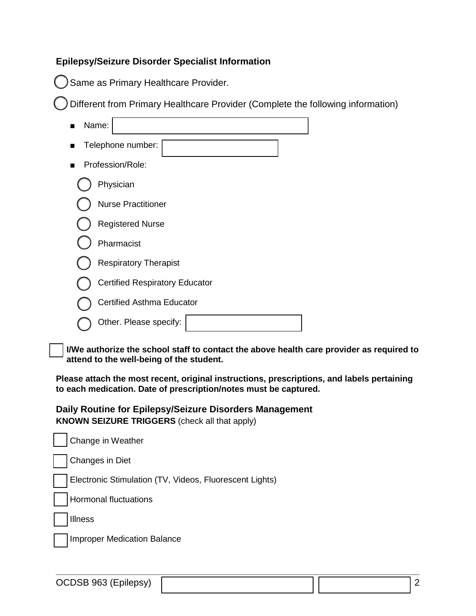## **Epilepsy/Seizure Disorder Specialist Information**

Same as Primary Healthcare Provider.

Different from Primary Healthcare Provider (Complete the following information)

| Name:                                 |  |  |  |  |  |  |
|---------------------------------------|--|--|--|--|--|--|
| Telephone number:                     |  |  |  |  |  |  |
| Profession/Role:                      |  |  |  |  |  |  |
| Physician                             |  |  |  |  |  |  |
| <b>Nurse Practitioner</b>             |  |  |  |  |  |  |
| <b>Registered Nurse</b>               |  |  |  |  |  |  |
| Pharmacist                            |  |  |  |  |  |  |
| <b>Respiratory Therapist</b>          |  |  |  |  |  |  |
| <b>Certified Respiratory Educator</b> |  |  |  |  |  |  |
| Certified Asthma Educator             |  |  |  |  |  |  |
| Other. Please specify:                |  |  |  |  |  |  |

**I/We authorize the school staff to contact the above health care provider as required to attend to the well-being of the student.**

**Please attach the most recent, original instructions, prescriptions, and labels pertaining to each medication. Date of prescription/notes must be captured.**

**Daily Routine for Epilepsy/Seizure Disorders Management KNOWN SEIZURE TRIGGERS** (check all that apply)

| Change in Weather                                       |
|---------------------------------------------------------|
| Changes in Diet                                         |
| Electronic Stimulation (TV, Videos, Fluorescent Lights) |
| <b>Hormonal fluctuations</b>                            |
| <b>Illness</b>                                          |
| <b>Improper Medication Balance</b>                      |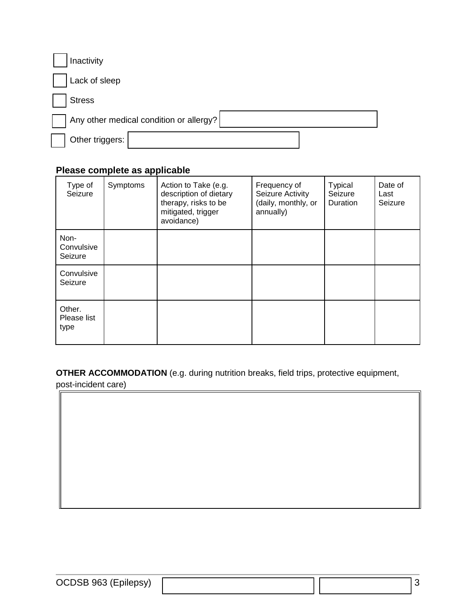| Inactivity      |                                         |  |
|-----------------|-----------------------------------------|--|
| Lack of sleep   |                                         |  |
| <b>Stress</b>   |                                         |  |
|                 | Any other medical condition or allergy? |  |
| Other triggers: |                                         |  |

## **Please complete as applicable**

| Type of<br>Seizure            | Symptoms | Action to Take (e.g.<br>description of dietary<br>therapy, risks to be<br>mitigated, trigger<br>avoidance) | Frequency of<br>Seizure Activity<br>(daily, monthly, or<br>annually) | <b>Typical</b><br>Seizure<br>Duration | Date of<br>Last<br>Seizure |
|-------------------------------|----------|------------------------------------------------------------------------------------------------------------|----------------------------------------------------------------------|---------------------------------------|----------------------------|
| Non-<br>Convulsive<br>Seizure |          |                                                                                                            |                                                                      |                                       |                            |
| Convulsive<br>Seizure         |          |                                                                                                            |                                                                      |                                       |                            |
| Other.<br>Please list<br>type |          |                                                                                                            |                                                                      |                                       |                            |

**OTHER ACCOMMODATION** (e.g. during nutrition breaks, field trips, protective equipment,

post-incident care)

OCDSB 963 (Epilepsy)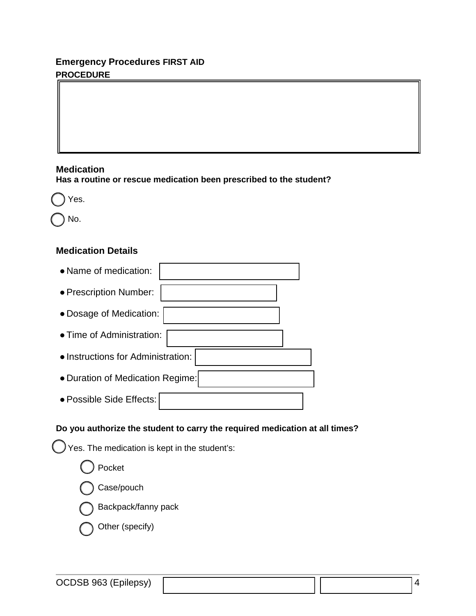# **Emergency Procedures FIRST AID PROCEDURE**

#### **Medication**

**Has a routine or rescue medication been prescribed to the student?**



No.

## **Medication Details**

| • Name of medication:              |  |  |  |  |  |  |
|------------------------------------|--|--|--|--|--|--|
| • Prescription Number:             |  |  |  |  |  |  |
| · Dosage of Medication:            |  |  |  |  |  |  |
| • Time of Administration:          |  |  |  |  |  |  |
| • Instructions for Administration: |  |  |  |  |  |  |
| • Duration of Medication Regime:   |  |  |  |  |  |  |
| · Possible Side Effects:           |  |  |  |  |  |  |

### **Do you authorize the student to carry the required medication at all times?**

Yes. The medication is kept in the student's:

Pocket

Case/pouch

Backpack/fanny pack

Other (specify)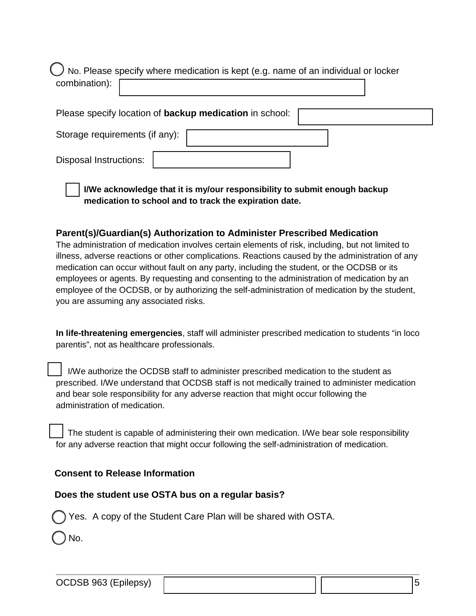No. Please specify where medication is kept (e.g. name of an individual or locker combination):

Please specify location of **backup medication** in school: Storage requirements (if any): Disposal Instructions:

**I/We acknowledge that it is my/our responsibility to submit enough backup medication to school and to track the expiration date.**

#### **Parent(s)/Guardian(s) Authorization to Administer Prescribed Medication**

The administration of medication involves certain elements of risk, including, but not limited to illness, adverse reactions or other complications. Reactions caused by the administration of any medication can occur without fault on any party, including the student, or the OCDSB or its employees or agents. By requesting and consenting to the administration of medication by an employee of the OCDSB, or by authorizing the self-administration of medication by the student, you are assuming any associated risks.

**In life-threatening emergencies**, staff will administer prescribed medication to students "in loco parentis", not as healthcare professionals.

 I/We authorize the OCDSB staff to administer prescribed medication to the student as prescribed. I/We understand that OCDSB staff is not medically trained to administer medication and bear sole responsibility for any adverse reaction that might occur following the administration of medication.

 The student is capable of administering their own medication. I/We bear sole responsibility for any adverse reaction that might occur following the self-administration of medication.

## **Consent to Release Information**

# **Does the student use OSTA bus on a regular basis?**

Yes. A copy of the Student Care Plan will be shared with OSTA.

No.